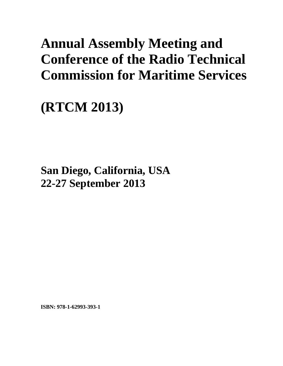# **Annual Assembly Meeting and Conference of the Radio Technical Commission for Maritime Services**

# **(RTCM 2013)**

**San Diego, California, USA 22-27 September 2013**

**ISBN: 978-1-62993-393-1**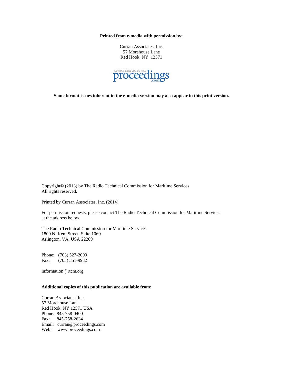**Printed from e-media with permission by:** 

Curran Associates, Inc. 57 Morehouse Lane Red Hook, NY 12571



**Some format issues inherent in the e-media version may also appear in this print version.** 

Copyright© (2013) by The Radio Technical Commission for Maritime Services All rights reserved.

Printed by Curran Associates, Inc. (2014)

For permission requests, please contact The Radio Technical Commission for Maritime Services at the address below.

The Radio Technical Commission for Maritime Services 1800 N. Kent Street, Suite 1060 Arlington, VA, USA 22209

Phone: (703) 527-2000 Fax: (703) 351-9932

information@rtcm.org

# **Additional copies of this publication are available from:**

Curran Associates, Inc. 57 Morehouse Lane Red Hook, NY 12571 USA Phone: 845-758-0400 Fax: 845-758-2634 Email: curran@proceedings.com Web: www.proceedings.com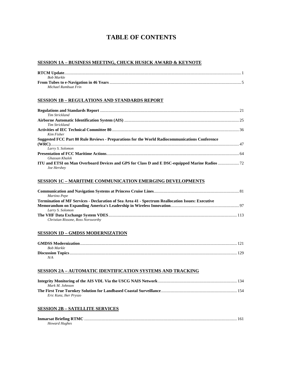# **TABLE OF CONTENTS**

#### **SESSION 1A – BUSINESS MEETING, CHUCK HUSICK AWARD & KEYNOTE**

| <b>Bob Markle</b>    |  |
|----------------------|--|
|                      |  |
| Michael Rambuat Frin |  |

#### **SESSION 1B – REGULATIONS AND STANDARDS REPORT**

| Tim Strickland                                                                                 |  |
|------------------------------------------------------------------------------------------------|--|
|                                                                                                |  |
| Tim Strickland                                                                                 |  |
|                                                                                                |  |
| Kim Fisher                                                                                     |  |
| Suggested FCC Part 80 Rule Reviews - Preparations for the World Radiocommunications Conference |  |
|                                                                                                |  |
| Larry S. Solomon                                                                               |  |
|                                                                                                |  |
| <b>Ghassan Khalek</b>                                                                          |  |
|                                                                                                |  |
| Joe Hershey                                                                                    |  |

#### **SESSION 1C – MARITIME COMMUNICATION EMERGING DEVELOPMENTS**

| Martino Pepe                                                                                             |  |
|----------------------------------------------------------------------------------------------------------|--|
| <b>Termination of MF Services - Declaration of Sea Area 41 - Spectrum Reallocation Issues: Executive</b> |  |
|                                                                                                          |  |
| Larry S. Solomon                                                                                         |  |
|                                                                                                          |  |
| Christian Rissone, Ross Norsworthy                                                                       |  |

#### **SESSION 1D – GMDSS MODERNIZATION**

| Bob Markle |  |
|------------|--|
|            |  |
| N/A        |  |

#### **SESSION 2A – AUTOMATIC IDENTIFICATION SYSTEMS AND TRACKING**

| Mark M. Johnson        |  |
|------------------------|--|
|                        |  |
| Eric Kunz, Iker Pryszo |  |

#### **SESSION 2B – SATELLITE SERVICES**

| Howard Hughes |  |
|---------------|--|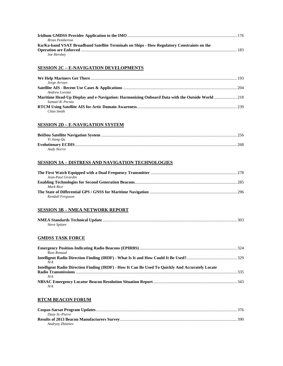| <b>Brian Pemberton</b>                                                                     |  |
|--------------------------------------------------------------------------------------------|--|
| Ku/Ka-band VSAT Broadband Satellite Terminals on Ships - How Regulatory Constraints on the |  |
|                                                                                            |  |
| Joe Hershey                                                                                |  |

#### **SESSION 2C – E-NAVIGATION DEVELOPMENTS**

| Jorge Arroyo     |  |
|------------------|--|
|                  |  |
| Andrew Loretta   |  |
|                  |  |
| Samuel R. Pecota |  |
|                  |  |
| Chan Smith       |  |

#### **SESSION 2D – E-NAVIGATION SYSTEM**

| Yi Jiang Ou |      |
|-------------|------|
|             | .268 |
| Andy Norris |      |

# **SESSION 3A – DISTRESS AND NAVIGATION TECHNOLOGIES**

| Jean-Paul Girardin |  |
|--------------------|--|
|                    |  |
| Mark Rice          |  |
|                    |  |
| Kendall Ferguson   |  |

#### **SESSION 3B – NMEA NETWORK REPORT**

| <i>Steve Spitzer</i> |  |
|----------------------|--|

# **GMDSS TASK FORCE**

| Russ Renaud                                                                                      |  |
|--------------------------------------------------------------------------------------------------|--|
|                                                                                                  |  |
| N/A                                                                                              |  |
| Intelligent Radio Direction Finding (IRDF) - How It Can Be Used To Ouickly And Accurately Locate |  |
|                                                                                                  |  |
| N/A                                                                                              |  |
|                                                                                                  |  |
| N/A                                                                                              |  |

# **RTCM BEACON FORUM**

| Dany St.-Pierre  |  |
|------------------|--|
|                  |  |
| Andryey Zhiteney |  |